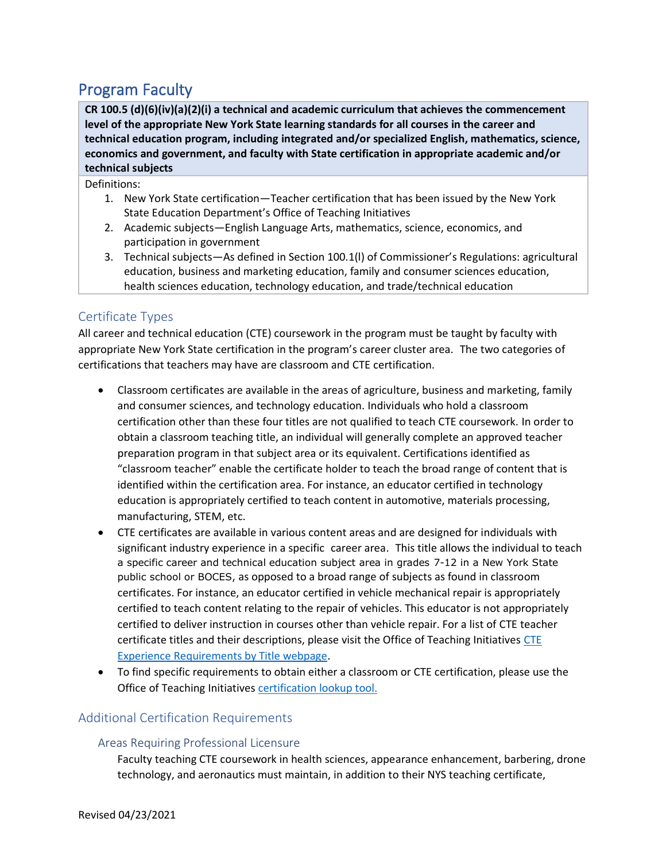# Program Faculty

 **level of the appropriate New York State learning standards for all courses in the career and CR 100.5 (d)(6)(iv)(a)(2)(i) a technical and academic curriculum that achieves the commencement technical education program, including integrated and/or specialized English, mathematics, science, economics and government, and faculty with State certification in appropriate academic and/or technical subjects** 

Definitions:

- 1. New York State certification—Teacher certification that has been issued by the New York State Education Department's Office of Teaching Initiatives
- 2. Academic subjects—English Language Arts, mathematics, science, economics, and participation in government
- 3. Technical subjects—As defined in Section 100.1(l) of Commissioner's Regulations: agricultural education, business and marketing education, family and consumer sciences education, health sciences education, technology education, and trade/technical education

## Certificate Types

 certifications that teachers may have are classroom and CTE certification. All career and technical education (CTE) coursework in the program must be taught by faculty with appropriate New York State certification in the program's career cluster area. The two categories of

- Classroom certificates are available in the areas of agriculture, business and marketing, family and consumer sciences, and technology education. Individuals who hold a classroom certification other than these four titles are not qualified to teach CTE coursework. In order to obtain a classroom teaching title, an individual will generally complete an approved teacher preparation program in that subject area or its equivalent. Certifications identified as "classroom teacher" enable the certificate holder to teach the broad range of content that is identified within the certification area. For instance, an educator certified in technology education is appropriately certified to teach content in automotive, materials processing, manufacturing, STEM, etc.
- a specific career and technical education subject area in grades 7-12 in a New York State public school or BOCES, as opposed to a broad range of subjects as found in classroom • CTE certificates are available in various content areas and are designed for individuals with significant industry experience in a specific career area. This title allows the individual to teach certificates. For instance, an educator certified in vehicle mechanical repair is appropriately certified to teach content relating to the repair of vehicles. This educator is not appropriately certified to deliver instruction in courses other than vehicle repair. For a list of CTE teacher certificate titles and their descriptions, please visit the Office of Teaching Initiatives CTE [Experience Requirements by Title webpage.](http://www.highered.nysed.gov/tcert/certificate/cte/experience-requirements.html)
- To find specific requirements to obtain either a classroom or CTE certification, please use the Office of Teaching Initiatives certification lookup tool.

### Additional Certification Requirements

## Areas Requiring Professional Licensure

Faculty teaching CTE coursework in health sciences, appearance enhancement, barbering, drone technology, and aeronautics must maintain, in addition to their NYS teaching certificate,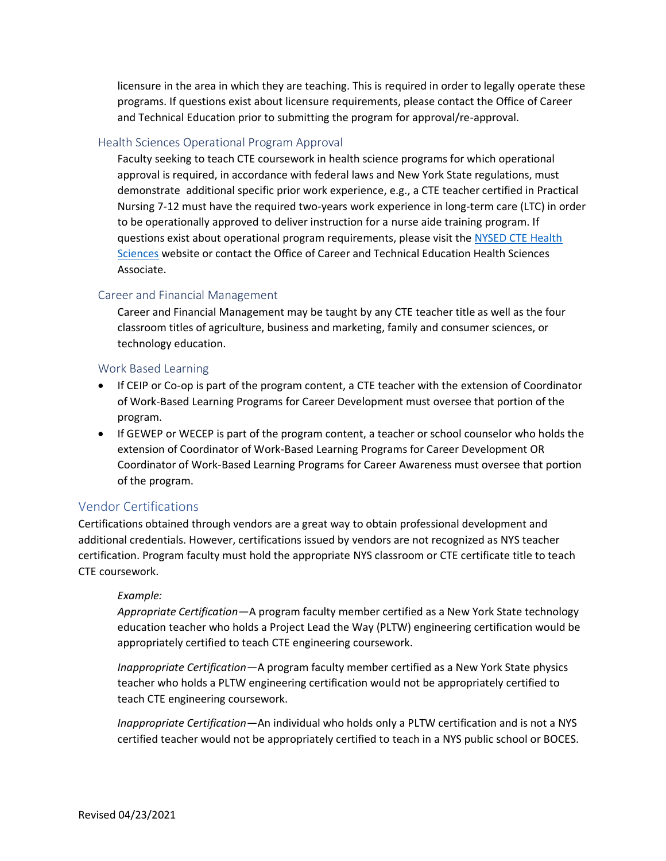licensure in the area in which they are teaching. This is required in order to legally operate these programs. If questions exist about licensure requirements, please contact the Office of Career and Technical Education prior to submitting the program for approval/re-approval.

#### Health Sciences Operational Program Approval

Faculty seeking to teach CTE coursework in health science programs for which operational approval is required, in accordance with federal laws and New York State regulations, must demonstrate additional specific prior work experience, e.g., a CTE teacher certified in Practical Nursing 7-12 must have the required two-years work experience in long-term care (LTC) in order to be operationally approved to deliver instruction for a nurse aide training program. If questions exist about operational program requirements, please visit the [NYSED CTE Health](http://www.p12.nysed.gov/cte/health/)  [Sciences](http://www.p12.nysed.gov/cte/health/) website or contact the Office of Career and Technical Education Health Sciences Associate.

## Career and Financial Management

Career and Financial Management may be taught by any CTE teacher title as well as the four classroom titles of agriculture, business and marketing, family and consumer sciences, or technology education.

#### Work Based Learning

- If CEIP or Co-op is part of the program content, a CTE teacher with the extension of Coordinator of Work-Based Learning Programs for Career Development must oversee that portion of the program.
- If GEWEP or WECEP is part of the program content, a teacher or school counselor who holds the extension of Coordinator of Work-Based Learning Programs for Career Development OR Coordinator of Work-Based Learning Programs for Career Awareness must oversee that portion of the program.

### Vendor Certifications

Certifications obtained through vendors are a great way to obtain professional development and additional credentials. However, certifications issued by vendors are not recognized as NYS teacher certification. Program faculty must hold the appropriate NYS classroom or CTE certificate title to teach CTE coursework.

#### *Example:*

*Appropriate Certification—*A program faculty member certified as a New York State technology education teacher who holds a Project Lead the Way (PLTW) engineering certification would be appropriately certified to teach CTE engineering coursework.

*Inappropriate Certification—*A program faculty member certified as a New York State physics teacher who holds a PLTW engineering certification would not be appropriately certified to teach CTE engineering coursework.

*Inappropriate Certification—*An individual who holds only a PLTW certification and is not a NYS certified teacher would not be appropriately certified to teach in a NYS public school or BOCES.